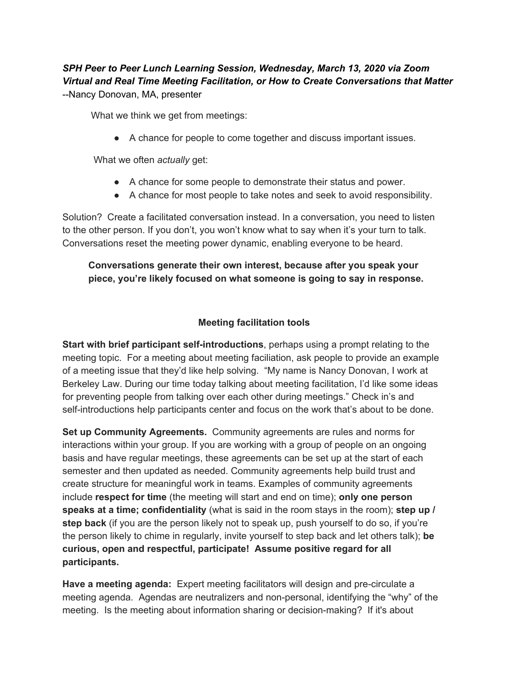## *SPH Peer to Peer Lunch Learning Session, Wednesday, March 13, 2020 via Zoom Virtual and Real Time Meeting Facilitation, or How to Create Conversations that Matter* --Nancy Donovan, MA, presenter

What we think we get from meetings:

● A chance for people to come together and discuss important issues.

What we often *actually* get:

- A chance for some people to demonstrate their status and power.
- A chance for most people to take notes and seek to avoid responsibility.

Solution? Create a facilitated conversation instead. In a conversation, you need to listen to the other person. If you don't, you won't know what to say when it's your turn to talk. Conversations reset the meeting power dynamic, enabling everyone to be heard.

## **Conversations generate their own interest, because after you speak your piece, you're likely focused on what someone is going to say in response.**

## **Meeting facilitation tools**

**Start with brief participant self-introductions**, perhaps using a prompt relating to the meeting topic. For a meeting about meeting faciliation, ask people to provide an example of a meeting issue that they'd like help solving. "My name is Nancy Donovan, I work at Berkeley Law. During our time today talking about meeting facilitation, I'd like some ideas for preventing people from talking over each other during meetings." Check in's and self-introductions help participants center and focus on the work that's about to be done.

**Set up Community Agreements.** Community agreements are rules and norms for interactions within your group. If you are working with a group of people on an ongoing basis and have regular meetings, these agreements can be set up at the start of each semester and then updated as needed. Community agreements help build trust and create structure for meaningful work in teams. Examples of community agreements include **respect for time** (the meeting will start and end on time); **only one person speaks at a time; confidentiality** (what is said in the room stays in the room); **step up / step back** (if you are the person likely not to speak up, push yourself to do so, if you're the person likely to chime in regularly, invite yourself to step back and let others talk); **be curious, open and respectful, participate! Assume positive regard for all participants.**

**Have a meeting agenda:** Expert meeting facilitators will design and pre-circulate a meeting agenda. Agendas are neutralizers and non-personal, identifying the "why" of the meeting. Is the meeting about information sharing or decision-making? If it's about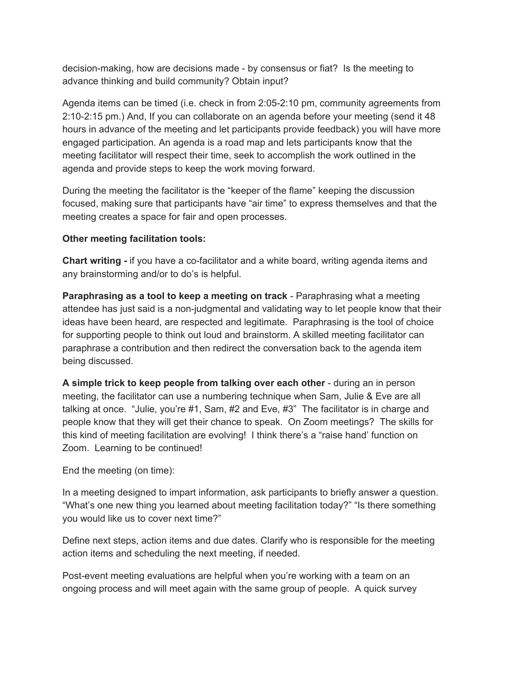decision-making, how are decisions made - by consensus or fiat? Is the meeting to advance thinking and build community? Obtain input?

Agenda items can be timed (i.e. check in from 2:05-2:10 pm, community agreements from 2:10-2:15 pm.) And, If you can collaborate on an agenda before your meeting (send it 48 hours in advance of the meeting and let participants provide feedback) you will have more engaged participation. An agenda is a road map and lets participants know that the meeting facilitator will respect their time, seek to accomplish the work outlined in the agenda and provide steps to keep the work moving forward.

During the meeting the facilitator is the "keeper of the flame" keeping the discussion focused, making sure that participants have "air time" to express themselves and that the meeting creates a space for fair and open processes.

## **Other meeting facilitation tools:**

**Chart writing -** if you have a co-facilitator and a white board, writing agenda items and any brainstorming and/or to do's is helpful.

**Paraphrasing as a tool to keep a meeting on track** - Paraphrasing what a meeting attendee has just said is a non-judgmental and validating way to let people know that their ideas have been heard, are respected and legitimate. Paraphrasing is the tool of choice for supporting people to think out loud and brainstorm. A skilled meeting facilitator can paraphrase a contribution and then redirect the conversation back to the agenda item being discussed.

**A simple trick to keep people from talking over each other** - during an in person meeting, the facilitator can use a numbering technique when Sam, Julie & Eve are all talking at once. "Julie, you're #1, Sam, #2 and Eve, #3" The facilitator is in charge and people know that they will get their chance to speak. On Zoom meetings? The skills for this kind of meeting facilitation are evolving! I think there's a "raise hand' function on Zoom. Learning to be continued!

End the meeting (on time):

In a meeting designed to impart information, ask participants to briefly answer a question. "What's one new thing you learned about meeting facilitation today?" "Is there something you would like us to cover next time?"

Define next steps, action items and due dates. Clarify who is responsible for the meeting action items and scheduling the next meeting, if needed.

Post-event meeting evaluations are helpful when you're working with a team on an ongoing process and will meet again with the same group of people. A quick survey